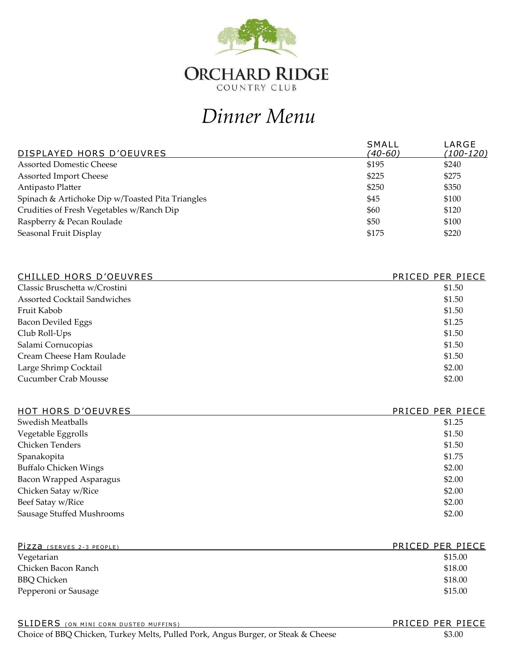

## *Dinner Menu*

| DISPLAYED HORS D'OEUVRES                         | SMALL<br>(40-60) | LARGE<br>(100-120) |
|--------------------------------------------------|------------------|--------------------|
| <b>Assorted Domestic Cheese</b>                  | \$195            | \$240              |
| <b>Assorted Import Cheese</b>                    | \$225            | \$275              |
| Antipasto Platter                                | \$250            | \$350              |
| Spinach & Artichoke Dip w/Toasted Pita Triangles | \$45             | \$100              |
| Crudities of Fresh Vegetables w/Ranch Dip        | \$60             | \$120              |
| Raspberry & Pecan Roulade                        | \$50             | \$100              |
| Seasonal Fruit Display                           | \$175            | \$220              |

| CHILLED HORS D'OEUVRES              | PRICED PER PIECE |
|-------------------------------------|------------------|
| Classic Bruschetta w/Crostini       | \$1.50           |
| <b>Assorted Cocktail Sandwiches</b> | \$1.50           |
| Fruit Kabob                         | \$1.50           |
| <b>Bacon Deviled Eggs</b>           | \$1.25           |
| Club Roll-Ups                       | \$1.50           |
| Salami Cornucopias                  | \$1.50           |
| Cream Cheese Ham Roulade            | \$1.50           |
| Large Shrimp Cocktail               | \$2.00           |
| Cucumber Crab Mousse                | \$2.00           |

| HOT HORS D'OEUVRES           | PRICED PER PIECE |
|------------------------------|------------------|
| Swedish Meatballs            | \$1.25           |
| Vegetable Eggrolls           | \$1.50           |
| Chicken Tenders              | \$1.50           |
| Spanakopita                  | \$1.75           |
| <b>Buffalo Chicken Wings</b> | \$2.00           |
| Bacon Wrapped Asparagus      | \$2.00           |
| Chicken Satay w/Rice         | \$2.00           |
| Beef Satay w/Rice            | \$2.00           |
| Sausage Stuffed Mushrooms    | \$2.00           |
|                              |                  |

| PIZZA (SERVES 2-3 PEOPLE) | PRICED PER PIECE |
|---------------------------|------------------|
| Vegetarian                | \$15.00          |
| Chicken Bacon Ranch       | \$18.00          |
| BBQ Chicken               | \$18.00          |
| Pepperoni or Sausage      | \$15.00          |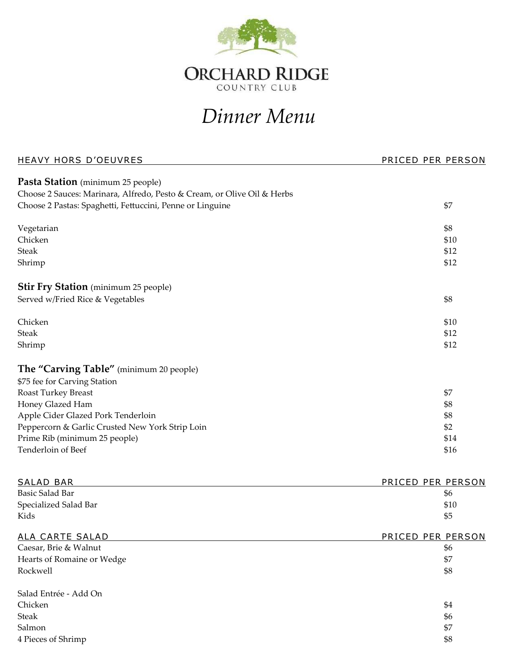

## *Dinner Menu*

| <b>HEAVY HORS D'OEUVRES</b>                                                                                  | PRICED PER PERSON        |
|--------------------------------------------------------------------------------------------------------------|--------------------------|
| Pasta Station (minimum 25 people)<br>Choose 2 Sauces: Marinara, Alfredo, Pesto & Cream, or Olive Oil & Herbs |                          |
| Choose 2 Pastas: Spaghetti, Fettuccini, Penne or Linguine                                                    | \$7                      |
| Vegetarian                                                                                                   | \$8                      |
| Chicken                                                                                                      | \$10                     |
| <b>Steak</b>                                                                                                 | \$12                     |
| Shrimp                                                                                                       | \$12                     |
| <b>Stir Fry Station</b> (minimum 25 people)                                                                  |                          |
| Served w/Fried Rice & Vegetables                                                                             | \$8                      |
|                                                                                                              |                          |
| Chicken                                                                                                      | \$10                     |
| <b>Steak</b>                                                                                                 | \$12                     |
| Shrimp                                                                                                       | \$12                     |
| The "Carving Table" (minimum 20 people)                                                                      |                          |
| \$75 fee for Carving Station                                                                                 |                          |
| <b>Roast Turkey Breast</b>                                                                                   | \$7                      |
| Honey Glazed Ham                                                                                             | \$8                      |
| Apple Cider Glazed Pork Tenderloin                                                                           | \$8                      |
| Peppercorn & Garlic Crusted New York Strip Loin                                                              | \$2                      |
| Prime Rib (minimum 25 people)                                                                                | \$14                     |
| Tenderloin of Beef                                                                                           | \$16                     |
|                                                                                                              |                          |
| <b>SALAD BAR</b><br>Basic Salad Bar                                                                          | PRICED PER PERSON        |
| Specialized Salad Bar                                                                                        | \$6<br>\$10              |
| Kids                                                                                                         | \$5                      |
| <u>ALA CARTE SALAD</u>                                                                                       | <u>PRICED PER PERSON</u> |
| Caesar, Brie & Walnut                                                                                        | \$6                      |
| Hearts of Romaine or Wedge                                                                                   | \$7                      |
| Rockwell                                                                                                     | \$8                      |
| Salad Entrée - Add On                                                                                        |                          |
| Chicken                                                                                                      | \$4                      |
| <b>Steak</b>                                                                                                 | \$6                      |
| Salmon                                                                                                       | \$7                      |
| 4 Pieces of Shrimp                                                                                           | \$8                      |
|                                                                                                              |                          |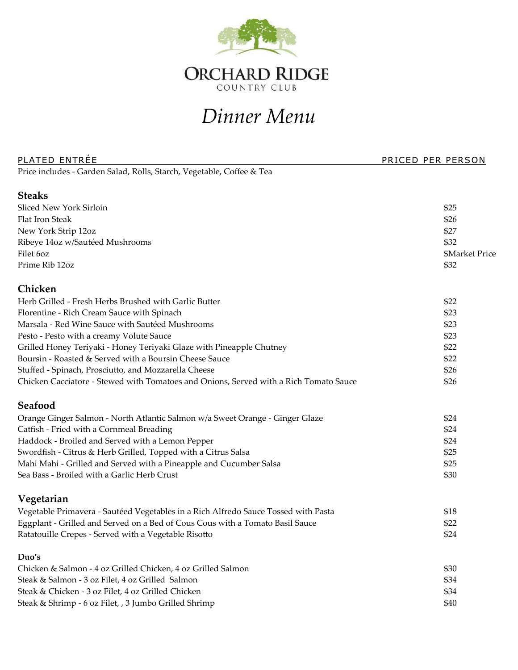

## *Dinner Menu*

| <b>PLATED ENTREE</b>                                                                  | PRICED PER PERSON     |
|---------------------------------------------------------------------------------------|-----------------------|
| Price includes - Garden Salad, Rolls, Starch, Vegetable, Coffee & Tea                 |                       |
| <b>Steaks</b>                                                                         |                       |
| Sliced New York Sirloin                                                               | \$25                  |
| Flat Iron Steak                                                                       | \$26                  |
| New York Strip 12oz                                                                   | \$27                  |
| Ribeye 14oz w/Sautéed Mushrooms                                                       | \$32                  |
| Filet 60z                                                                             | <b>\$Market Price</b> |
| Prime Rib 12oz                                                                        | \$32                  |
| Chicken                                                                               |                       |
| Herb Grilled - Fresh Herbs Brushed with Garlic Butter                                 | \$22                  |
| Florentine - Rich Cream Sauce with Spinach                                            | \$23                  |
| Marsala - Red Wine Sauce with Sautéed Mushrooms                                       | \$23                  |
| Pesto - Pesto with a creamy Volute Sauce                                              | \$23                  |
| Grilled Honey Teriyaki - Honey Teriyaki Glaze with Pineapple Chutney                  | \$22                  |
| Boursin - Roasted & Served with a Boursin Cheese Sauce                                | \$22                  |
| Stuffed - Spinach, Prosciutto, and Mozzarella Cheese                                  | \$26                  |
| Chicken Cacciatore - Stewed with Tomatoes and Onions, Served with a Rich Tomato Sauce | \$26                  |
| Seafood                                                                               |                       |
| Orange Ginger Salmon - North Atlantic Salmon w/a Sweet Orange - Ginger Glaze          | \$24                  |
| Catfish - Fried with a Cornmeal Breading                                              | \$24                  |
| Haddock - Broiled and Served with a Lemon Pepper                                      | \$24                  |
| Swordfish - Citrus & Herb Grilled, Topped with a Citrus Salsa                         | \$25                  |
| Mahi Mahi - Grilled and Served with a Pineapple and Cucumber Salsa                    | \$25                  |
| Sea Bass - Broiled with a Garlic Herb Crust                                           | \$30                  |
| Vegetarian                                                                            |                       |
| Vegetable Primavera - Sautéed Vegetables in a Rich Alfredo Sauce Tossed with Pasta    | \$18                  |
| Eggplant - Grilled and Served on a Bed of Cous Cous with a Tomato Basil Sauce         | \$22                  |
| Ratatouille Crepes - Served with a Vegetable Risotto                                  | \$24                  |
| Duo's                                                                                 |                       |
| Chicken & Salmon - 4 oz Grilled Chicken, 4 oz Grilled Salmon                          | \$30                  |
| Steak & Salmon - 3 oz Filet, 4 oz Grilled Salmon                                      | \$34                  |
| Steak & Chicken - 3 oz Filet, 4 oz Grilled Chicken                                    | \$34                  |
| Steak & Shrimp - 6 oz Filet, , 3 Jumbo Grilled Shrimp                                 | \$40                  |